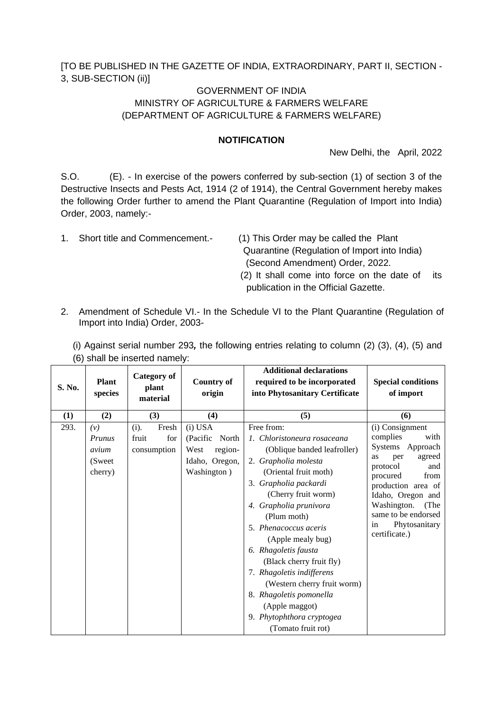[TO BE PUBLISHED IN THE GAZETTE OF INDIA, EXTRAORDINARY, PART II, SECTION - 3, SUB-SECTION (ii)]

## GOVERNMENT OF INDIA MINISTRY OF AGRICULTURE & FARMERS WELFARE (DEPARTMENT OF AGRICULTURE & FARMERS WELFARE)

## **NOTIFICATION**

New Delhi, the April, 2022

S.O. (E). - In exercise of the powers conferred by sub-section (1) of section 3 of the Destructive Insects and Pests Act, 1914 (2 of 1914), the Central Government hereby makes the following Order further to amend the Plant Quarantine (Regulation of Import into India) Order, 2003, namely:-

- 1. Short title and Commencement.- (1) This Order may be called the Plant
	- Quarantine (Regulation of Import into India) (Second Amendment) Order, 2022.
	- (2) It shall come into force on the date of its publication in the Official Gazette.
- 2. Amendment of Schedule VI.- In the Schedule VI to the Plant Quarantine (Regulation of Import into India) Order, 2003-

| (i) Against serial number 293, the following entries relating to column $(2)$ $(3)$ , $(4)$ , $(5)$ and |  |  |
|---------------------------------------------------------------------------------------------------------|--|--|
| (6) shall be inserted namely:                                                                           |  |  |

| S. No. | Plant<br>species                                    | Category of<br>plant<br>material             | <b>Country of</b><br>origin                                                        | <b>Additional declarations</b><br>required to be incorporated<br>into Phytosanitary Certificate                                                                                                                                                                                                                                                                                                                                                                                  | <b>Special conditions</b><br>of import                                                                                                                                                                                                                 |
|--------|-----------------------------------------------------|----------------------------------------------|------------------------------------------------------------------------------------|----------------------------------------------------------------------------------------------------------------------------------------------------------------------------------------------------------------------------------------------------------------------------------------------------------------------------------------------------------------------------------------------------------------------------------------------------------------------------------|--------------------------------------------------------------------------------------------------------------------------------------------------------------------------------------------------------------------------------------------------------|
| (1)    | (2)                                                 | (3)                                          | (4)                                                                                | (5)                                                                                                                                                                                                                                                                                                                                                                                                                                                                              | (6)                                                                                                                                                                                                                                                    |
| 293.   | (v)<br><b>Prunus</b><br>avium<br>(Sweet)<br>cherry) | Fresh<br>(i).<br>fruit<br>for<br>consumption | $(i)$ USA<br>(Pacific<br>North<br>region-<br>West<br>Idaho, Oregon,<br>Washington) | Free from:<br>1. Chloristoneura rosaceana<br>(Oblique banded leafroller)<br>2. Grapholia molesta<br>(Oriental fruit moth)<br>3. Grapholia packardi<br>(Cherry fruit worm)<br>4. Grapholia prunivora<br>(Plum moth)<br>5. Phenacoccus aceris<br>(Apple mealy bug)<br>6. Rhagoletis fausta<br>(Black cherry fruit fly)<br>7. Rhagoletis indifferens<br>(Western cherry fruit worm)<br>8. Rhagoletis pomonella<br>(Apple maggot)<br>9. Phytophthora cryptogea<br>(Tomato fruit rot) | (i) Consignment<br>complies<br>with<br>Systems Approach<br>agreed<br>as<br>per<br>protocol<br>and<br>procured<br>from<br>production area of<br>Idaho, Oregon and<br>Washington.<br>(The<br>same to be endorsed<br>in<br>Phytosanitary<br>certificate.) |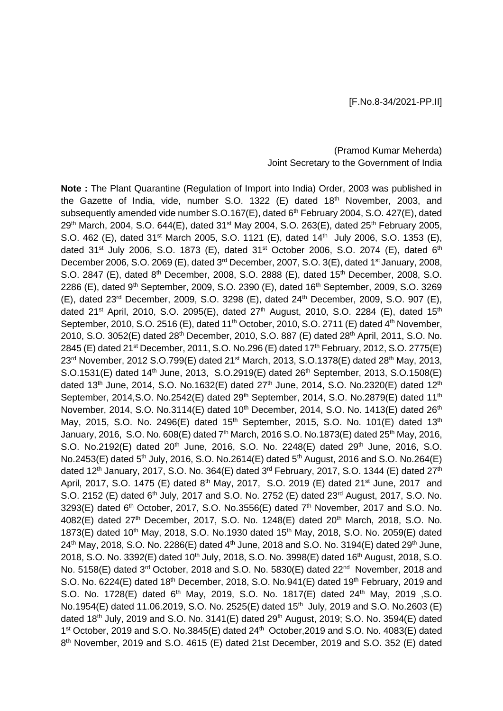## (Pramod Kumar Meherda) Joint Secretary to the Government of India

**Note :** The Plant Quarantine (Regulation of Import into India) Order, 2003 was published in the Gazette of India, vide, number S.O. 1322 (E) dated 18<sup>th</sup> November, 2003, and subsequently amended vide number S.O.167(E), dated 6<sup>th</sup> February 2004, S.O. 427(E), dated 29<sup>th</sup> March, 2004, S.O. 644(E), dated 31<sup>st</sup> May 2004, S.O. 263(E), dated 25<sup>th</sup> February 2005, S.O. 462 (E), dated 31<sup>st</sup> March 2005, S.O. 1121 (E), dated 14<sup>th</sup> July 2006, S.O. 1353 (E), dated  $31^{st}$  July 2006, S.O. 1873 (E), dated  $31^{st}$  October 2006, S.O. 2074 (E), dated  $6^{th}$ December 2006, S.O. 2069 (E), dated 3<sup>rd</sup> December, 2007, S.O. 3(E), dated 1<sup>st</sup> January, 2008, S.O. 2847 (E), dated 8<sup>th</sup> December, 2008, S.O. 2888 (E), dated 15<sup>th</sup> December, 2008, S.O. 2286 (E), dated 9<sup>th</sup> September, 2009, S.O. 2390 (E), dated 16<sup>th</sup> September, 2009, S.O. 3269 (E), dated 23rd December, 2009, S.O. 3298 (E), dated 24th December, 2009, S.O. 907 (E), dated 21<sup>st</sup> April, 2010, S.O. 2095(E), dated 27<sup>th</sup> August, 2010, S.O. 2284 (E), dated 15<sup>th</sup> September, 2010, S.O. 2516 (E), dated 11<sup>th</sup> October, 2010, S.O. 2711 (E) dated 4<sup>th</sup> November, 2010, S.O. 3052(E) dated 28<sup>th</sup> December, 2010, S.O. 887 (E) dated 28<sup>th</sup> April, 2011, S.O. No. 2845 (E) dated 21<sup>st</sup> December, 2011, S.O. No.296 (E) dated 17<sup>th</sup> February, 2012, S.O. 2775(E) 23<sup>rd</sup> November, 2012 S.O.799(E) dated 21<sup>st</sup> March, 2013, S.O.1378(E) dated 28<sup>th</sup> May, 2013, S.O.1531(E) dated 14<sup>th</sup> June, 2013, S.O.2919(E) dated 26<sup>th</sup> September, 2013, S.O.1508(E) dated 13<sup>th</sup> June, 2014, S.O. No.1632(E) dated 27<sup>th</sup> June, 2014, S.O. No.2320(E) dated 12<sup>th</sup> September, 2014, S.O. No.2542(E) dated  $29<sup>th</sup>$  September, 2014, S.O. No.2879(E) dated 11<sup>th</sup> November, 2014, S.O. No.3114(E) dated  $10^{th}$  December, 2014, S.O. No. 1413(E) dated  $26^{th}$ May, 2015, S.O. No. 2496(E) dated 15<sup>th</sup> September, 2015, S.O. No. 101(E) dated 13<sup>th</sup> January, 2016, S.O. No. 608(E) dated 7<sup>th</sup> March, 2016 S.O. No.1873(E) dated 25<sup>th</sup> May, 2016, S.O. No.2192(E) dated 20<sup>th</sup> June, 2016, S.O. No. 2248(E) dated 29<sup>th</sup> June, 2016, S.O. No.2453(E) dated 5<sup>th</sup> July, 2016, S.O. No.2614(E) dated 5<sup>th</sup> August, 2016 and S.O. No.264(E) dated 12<sup>th</sup> January, 2017, S.O. No. 364(E) dated 3<sup>rd</sup> February, 2017, S.O. 1344 (E) dated 27<sup>th</sup> April, 2017, S.O. 1475 (E) dated 8<sup>th</sup> May, 2017, S.O. 2019 (E) dated 21<sup>st</sup> June, 2017 and S.O. 2152 (E) dated 6<sup>th</sup> July, 2017 and S.O. No. 2752 (E) dated 23<sup>rd</sup> August, 2017, S.O. No. 3293(E) dated  $6<sup>th</sup>$  October, 2017, S.O. No.3556(E) dated  $7<sup>th</sup>$  November, 2017 and S.O. No. 4082(E) dated 27<sup>th</sup> December, 2017, S.O. No. 1248(E) dated 20<sup>th</sup> March, 2018, S.O. No. 1873(E) dated 10<sup>th</sup> May, 2018, S.O. No.1930 dated 15<sup>th</sup> May, 2018, S.O. No. 2059(E) dated  $24^{th}$  May, 2018, S.O. No. 2286(E) dated  $4^{th}$  June, 2018 and S.O. No. 3194(E) dated 29<sup>th</sup> June, 2018, S.O. No. 3392(E) dated 10<sup>th</sup> July, 2018, S.O. No. 3998(E) dated 16<sup>th</sup> August, 2018, S.O. No. 5158(E) dated 3<sup>rd</sup> October, 2018 and S.O. No. 5830(E) dated 22<sup>nd</sup> November, 2018 and S.O. No. 6224(E) dated  $18<sup>th</sup>$  December, 2018, S.O. No.941(E) dated  $19<sup>th</sup>$  February, 2019 and S.O. No. 1728(E) dated 6th May, 2019, S.O. No. 1817(E) dated 24th May, 2019 ,S.O. No.1954(E) dated 11.06.2019, S.O. No. 2525(E) dated 15<sup>th</sup> July, 2019 and S.O. No.2603 (E) dated  $18^{th}$  July, 2019 and S.O. No. 3141(E) dated  $29^{th}$  August, 2019; S.O. No. 3594(E) dated 1<sup>st</sup> October, 2019 and S.O. No.3845(E) dated 24<sup>th</sup> October, 2019 and S.O. No. 4083(E) dated 8<sup>th</sup> November, 2019 and S.O. 4615 (E) dated 21st December, 2019 and S.O. 352 (E) dated